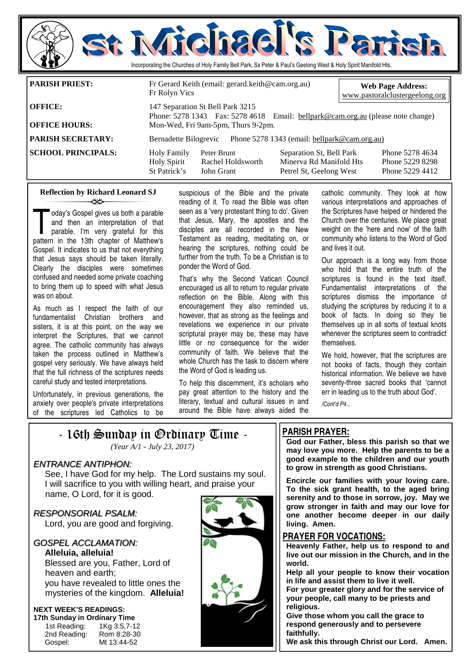

**OFFICE HOURS:** Mon-Wed, Fri 9am-5pm, Thurs 9-2pm.

**PARISH SECRETARY:** Bernadette Bilogrevic Phone 5278 1343 (email: bellpark@cam.org.au)

| <b>SCHOOL PRINCIPALS:</b><br>Holy Family<br>Holy Spirit<br>St Patrick's | Peter Brunt<br>Rachel Holdsworth<br>John Grant | Separation St, Bell Park<br>Minerva Rd Manifold Hts<br>Petrel St, Geelong West | Phone 5278 4634<br>Phone 5229 8298<br>Phone 5229 4412 |  |
|-------------------------------------------------------------------------|------------------------------------------------|--------------------------------------------------------------------------------|-------------------------------------------------------|--|
|-------------------------------------------------------------------------|------------------------------------------------|--------------------------------------------------------------------------------|-------------------------------------------------------|--|

### **Reflection by Richard Leonard SJ**  తం

oday's Gospel gives us both a parable<br>and then an interpretation of that<br>parable. I'm very grateful for this<br>pattern in the 13th chanter of Matthew's and then an interpretation of that parable. I'm very grateful for this pattern in the 13th chapter of Matthew's Gospel. It indicates to us that not everything that Jesus says should be taken literally. Clearly the disciples were sometimes confused and needed some private coaching to bring them up to speed with what Jesus was on about.

As much as I respect the faith of our fundamentalist Christian brothers and sisters, it is at this point, on the way we interpret the Scriptures, that we cannot agree. The catholic community has always taken the process outlined in Matthew's gospel very seriously. We have always held that the full richness of the scriptures needs careful study and tested interpretations.

Unfortunately, in previous generations, the anxiety over people's private interpretations of the scriptures led Catholics to be suspicious of the Bible and the private reading of it. To read the Bible was often seen as a 'very protestant thing to do'. Given that Jesus, Mary, the apostles and the disciples are all recorded in the New Testament as reading, meditating on, or hearing the scriptures, nothing could be further from the truth. To be a Christian is to ponder the Word of God.

That's why the Second Vatican Council encouraged us all to return to regular private reflection on the Bible. Along with this encouragement they also reminded us, however, that as strong as the feelings and revelations we experience in our private scriptural prayer may be, these may have little or no consequence for the wider community of faith. We believe that the whole Church has the task to discern where the Word of God is leading us.

To help this discernment, it's scholars who pay great attention to the history and the literary, textual and cultural issues in and around the Bible have always aided the

catholic community. They look at how various interpretations and approaches of the Scriptures have helped or hindered the Church over the centuries. We place great weight on the 'here and now' of the faith community who listens to the Word of God and lives it out.

Our approach is a long way from those who hold that the entire truth of the scriptures is found in the text itself. Fundamentalist interpretations of the scriptures dismiss the importance of studying the scriptures by reducing it to a book of facts. In doing so they tie themselves up in all sorts of textual knots whenever the scriptures seem to contradict themselves.

We hold, however, that the scriptures are not books of facts, though they contain historical information. We believe we have seventy-three sacred books that 'cannot err in leading us to the truth about God'.

*/Cont'd P4...* 

## - 16th Sunday in Ordinary Time -

*(Year A/1 - July 23, 2017)* 

## ENTRANCE ANTIPHON:

 See, I have God for my help. The Lord sustains my soul. I will sacrifice to you with willing heart, and praise your name, O Lord, for it is good.

## RESPONSORIAL PSALM:

Lord, you are good and forgiving.

## GOSPEL ACCLAMATION:

**Alleluia, alleluia!**  Blessed are you, Father, Lord of heaven and earth; you have revealed to little ones the mysteries of the kingdom. **Alleluia!** 

### **NEXT WEEK'S READINGS:**

**17th Sunday in Ordinary Time**  1st Reading: 1Kg 3:5,7-12 2nd Reading: Rom 8:28-30 Gospel: Mt 13:44-52



## **PARISH PRAYER:**

**God our Father, bless this parish so that we may love you more. Help the parents to be a good example to the children and our youth to grow in strength as good Christians.** 

**Encircle our families with your loving care. To the sick grant health, to the aged bring serenity and to those in sorrow, joy. May we grow stronger in faith and may our love for one another become deeper in our daily living. Amen.** 

### **PRAYER FOR VOCATIONS:**

**Heavenly Father, help us to respond to and live out our mission in the Church, and in the world.** 

**Help all your people to know their vocation in life and assist them to live it well.** 

**For your greater glory and for the service of your people, call many to be priests and religious.** 

**Give those whom you call the grace to respond generously and to persevere faithfully.** 

**We ask this through Christ our Lord. Amen.**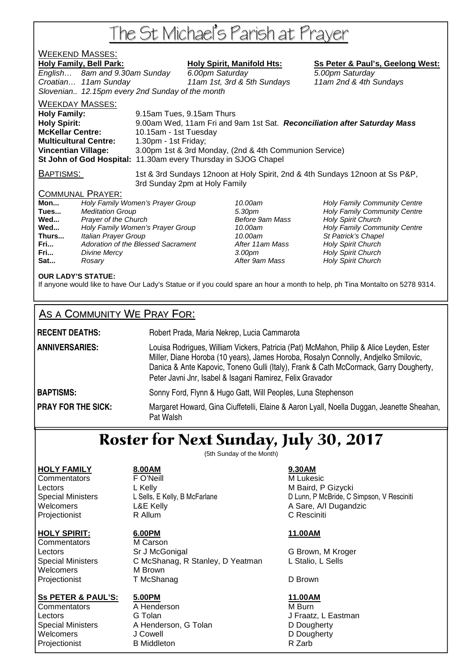# The St Michael's Parish at Prayer

## WEEKEND MASSES:

Holy Family, Bell Park: Holy Spirit, Manifold Hts: Ss Peter & Paul's, Geelong West: English... 8am and 9.30am Sunday 6.00pm Saturday 6.00 5.00pm Saturday Croatian… 11am Sunday 11am 1st, 3rd & 5th Sundays 11am 2nd & 4th Sundays Slovenian.. 12.15pm every 2nd Sunday of the month WEEKDAY MASSES:

**Holy Family:** 9.15am Tues, 9.15am Thurs **Holy Spirit:** 9.00am Wed, 11am Fri and 9am 1st Sat. **Reconciliation after Saturday Mass McKellar Centre:** 10.15am - 1st Tuesday **Multicultural Centre:** 1.30pm - 1st Friday; **Vincentian Village:** 3.00pm 1st & 3rd Monday, (2nd & 4th Communion Service) **St John of God Hospital:** 11.30am every Thursday in SJOG Chapel

BAPTISMS: 1st & 3rd Sundays 12noon at Holy Spirit, 2nd & 4th Sundays 12noon at Ss P&P, 3rd Sunday 2pm at Holy Family

## COMMUNAL PRAYER:

| Mon   | Holy Family Women's Prayer Group   |
|-------|------------------------------------|
| Tues  | <b>Meditation Group</b>            |
| Wed   | Prayer of the Church               |
| Wed   | Holy Family Women's Prayer Group   |
| Thurs | Italian Prayer Group               |
| Fri   | Adoration of the Blessed Sacrament |
| Fri   | Divine Mercy                       |
| Sat   | Rosary                             |

**Before 9am Mass Holy Spirit Church Before 9am Mass Holy Spirit Church After 11am Mass Holy Spirit Church Franch 3.00pm** Holy Spirit Church After 9am Mass **Holy Spirit Church** 

10.00am **Holy Family Community Centre Tues 3.30pm Holy Family Community Centre** 10.00am **Holy Family Community Centre** 10.00am St Patrick's Chapel

## **OUR LADY'S STATUE:**

If anyone would like to have Our Lady's Statue or if you could spare an hour a month to help, ph Tina Montalto on 5278 9314.

## AS A COMMUNITY WE PRAY FOR:

**RECENT DEATHS:** Robert Prada, Maria Nekrep, Lucia Cammarota

**ANNIVERSARIES:** Louisa Rodrigues, William Vickers, Patricia (Pat) McMahon, Philip & Alice Leyden, Ester Miller, Diane Horoba (10 years), James Horoba, Rosalyn Connolly, Andjelko Smilovic, Danica & Ante Kapovic, Toneno Gulli (Italy), Frank & Cath McCormack, Garry Dougherty, Peter Javni Jnr, Isabel & Isagani Ramirez, Felix Gravador

**BAPTISMS:** Sonny Ford, Flynn & Hugo Gatt, Will Peoples, Luna Stephenson

**PRAY FOR THE SICK:** Margaret Howard, Gina Ciuffetelli, Elaine & Aaron Lyall, Noella Duggan, Jeanette Sheahan, Pat Walsh

# Roster for Next Sunday, July 30, 2017

(5th Sunday of the Month)

## **HOLY FAMILY 8.00AM 9.30AM**

## **HOLY SPIRIT: 6.00PM 11.00AM**

Commentators M Carson Welcomers M Brown

### **Ss PETER & PAUL'S: 5.00PM 11.00AM**

Commentators **FO'Neill FO'Neill** M Lukesic Lectors Likelly Likelly M Baird, P Gizycki Welcomers **L&E Kelly A Sare, A/I Dugandzic** Projectionist R Allum C Resciniti

Lectors Sr J McGonigal G Brown, M Kroger Special Ministers C McShanag, R Stanley, D Yeatman L Stalio, L Sells Projectionist T McShanag **T D Brown** 

Commentators A Henderson M Burn Lectors G Tolan G Tolan J Fraatz, L Eastman Special Ministers **A** Henderson, G Tolan **D** Dougherty Welcomers **J Cowell J Cowell D** Dougherty Projectionist **B** Middleton **B B** Middleton **R** Zarb

Special Ministers Little Sells, E Kelly, B McFarlane **D** Lunn, P McBride, C Simpson, V Resciniti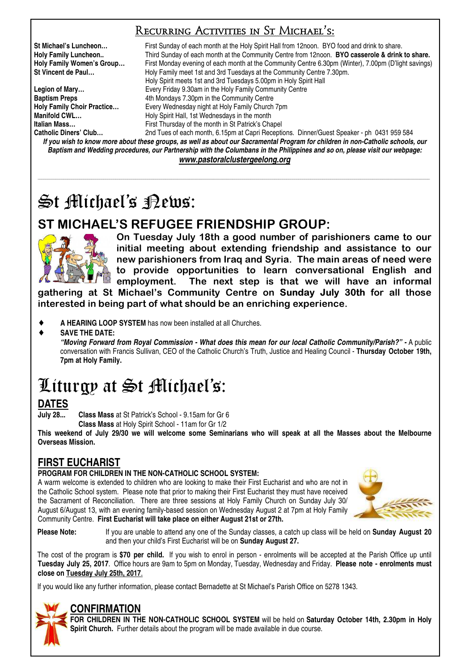## Recurring Activities in St Michael's:

**St Michael's Luncheon…** First Sunday of each month at the Holy Spirit Hall from 12noon. BYO food and drink to share. **Holy Family Luncheon..** Third Sunday of each month at the Community Centre from 12noon. **BYO casserole & drink to share. Holy Family Women's Group…** First Monday evening of each month at the Community Centre 6.30pm (Winter), 7.00pm (D'light savings) **St Vincent de Paul…** Holy Family meet 1st and 3rd Tuesdays at the Community Centre 7.30pm. Holy Spirit meets 1st and 3rd Tuesdays 5.00pm in Holy Spirit Hall **Legion of Mary…** Every Friday 9.30am in the Holy Family Community Centre **Baptism Preps** <br> **Holy Family Choir Practice... Ath Mondays 7.30pm in the Community Centre Holy Family Church Holy Family Choir Practice…** Every Wednesday night at Holy Family Church 7pm **Manifold CWL... Holy Spirit Hall, 1st Wednesdays in the month Italian Mass…** First Thursday of the month in St Patrick's Chapel 2nd Tues of each month, 6.15pm at Capri Receptions. Dinner/Guest Speaker - ph 0431 959 584

*If you wish to know more about these groups, as well as about our Sacramental Program for children in non-Catholic schools, our Baptism and Wedding procedures, our Partnership with the Columbans in the Philippines and so on, please visit our webpage: www.pastoralclustergeelong.org*

\_\_\_\_\_\_\_\_\_\_\_\_\_\_\_\_\_\_\_\_\_\_\_\_\_\_\_\_\_\_\_\_\_\_\_\_\_\_\_\_\_\_\_\_\_\_\_\_\_\_\_\_\_\_\_\_\_\_\_\_\_\_\_\_\_\_\_\_\_\_\_\_\_\_\_\_\_\_\_\_\_\_\_\_\_\_\_\_\_\_\_\_\_\_\_\_\_\_\_\_\_\_\_\_\_\_\_\_\_\_\_\_\_\_\_\_\_\_\_\_\_\_\_\_\_\_\_\_\_\_\_\_\_\_\_\_\_\_\_\_\_\_\_\_\_\_\_\_\_\_\_\_\_\_\_\_\_\_\_\_\_\_\_\_\_\_\_\_\_\_\_\_\_\_\_\_\_\_\_\_\_\_\_\_\_\_\_\_\_\_\_\_\_\_\_\_\_

# St Michael's Pews:

## ST MICHAEL'S REFUGEE FRIENDSHIP GROUP:



On Tuesday July 18th a good number of parishioners came to our initial meeting about extending friendship and assistance to our new parishioners from Iraq and Syria. The main areas of need were to provide opportunities to learn conversational English and employment. The next step is that we will have an informal

gathering at St Michael's Community Centre on Sunday July 30th for all those interested in being part of what should be an enriching experience.

- A HEARING LOOP SYSTEM has now been installed at all Churches.
- SAVE THE DATE:

*"Moving Forward from Royal Commission - What does this mean for our local Catholic Community/Parish?" -* A public conversation with Francis Sullivan, CEO of the Catholic Church's Truth, Justice and Healing Council - **Thursday October 19th, 7pm at Holy Family.** 

# Liturgy at St Michael's:

## **DATES**

**July 28... Class Mass** at St Patrick's School - 9.15am for Gr 6

**Class Mass** at Holy Spirit School - 11am for Gr 1/2

**This weekend of July 29/30 we will welcome some Seminarians who will speak at all the Masses about the Melbourne Overseas Mission.** 

## **FIRST EUCHARIST**

## **PROGRAM FOR CHILDREN IN THE NON-CATHOLIC SCHOOL SYSTEM:**

A warm welcome is extended to children who are looking to make their First Eucharist and who are not in the Catholic School system. Please note that prior to making their First Eucharist they must have received the Sacrament of Reconciliation. There are three sessions at Holy Family Church on Sunday July 30/ August 6/August 13, with an evening family-based session on Wednesday August 2 at 7pm at Holy Family Community Centre. **First Eucharist will take place on either August 21st or 27th.**



**Please Note:** If you are unable to attend any one of the Sunday classes, a catch up class will be held on **Sunday August 20** and then your child's First Eucharist will be on **Sunday August 27.** 

The cost of the program is **\$70 per child.** If you wish to enrol in person - enrolments will be accepted at the Parish Office up until **Tuesday July 25, 2017**. Office hours are 9am to 5pm on Monday, Tuesday, Wednesday and Friday. **Please note - enrolments must close on Tuesday July 25th, 2017**.

If you would like any further information, please contact Bernadette at St Michael's Parish Office on 5278 1343.

## **CONFIRMATION**

**FOR CHILDREN IN THE NON-CATHOLIC SCHOOL SYSTEM** will be held on **Saturday October 14th, 2.30pm in Holy**  Spirit Church. Further details about the program will be made available in due course.